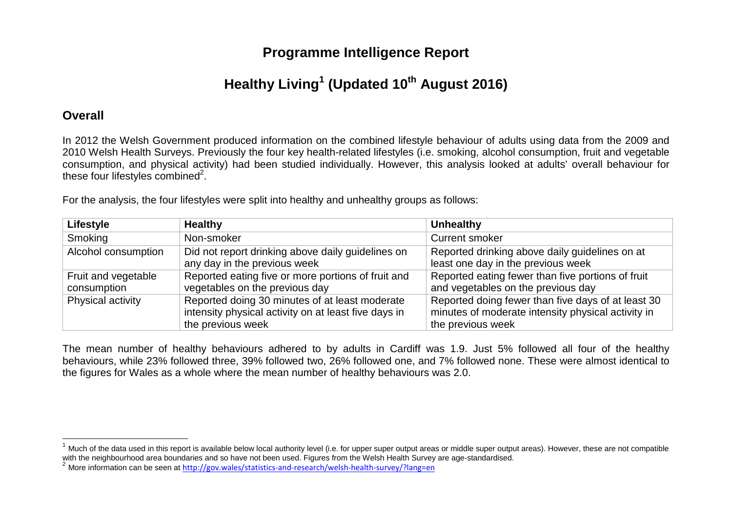## **Programme Intelligence Report**

# **Healthy Living<sup>1</sup> (Updated 10th August 2016)**

## **Overall**

In 2012 the Welsh Government produced information on the combined lifestyle behaviour of adults using data from the 2009 and 2010 Welsh Health Surveys. Previously the four key health-related lifestyles (i.e. smoking, alcohol consumption, fruit and vegetable consumption, and physical activity) had been studied individually. However, this analysis looked at adults' overall behaviour for these four lifestyles combined<sup>2</sup>.

For the analysis, the four lifestyles were split into healthy and unhealthy groups as follows:

| <b>Lifestyle</b>    | <b>Healthy</b>                                       | <b>Unhealthy</b>                                   |
|---------------------|------------------------------------------------------|----------------------------------------------------|
| Smoking             | Non-smoker                                           | <b>Current smoker</b>                              |
| Alcohol consumption | Did not report drinking above daily guidelines on    | Reported drinking above daily guidelines on at     |
|                     | any day in the previous week                         | least one day in the previous week                 |
| Fruit and vegetable | Reported eating five or more portions of fruit and   | Reported eating fewer than five portions of fruit  |
| consumption         | vegetables on the previous day                       | and vegetables on the previous day                 |
| Physical activity   | Reported doing 30 minutes of at least moderate       | Reported doing fewer than five days of at least 30 |
|                     | intensity physical activity on at least five days in | minutes of moderate intensity physical activity in |
|                     | the previous week                                    | the previous week                                  |

The mean number of healthy behaviours adhered to by adults in Cardiff was 1.9. Just 5% followed all four of the healthy behaviours, while 23% followed three, 39% followed two, 26% followed one, and 7% followed none. These were almost identical to the figures for Wales as a whole where the mean number of healthy behaviours was 2.0.

 $^1$  Much of the data used in this report is available below local authority level (i.e. for upper super output areas or middle super output areas). However, these are not compatible with the neighbourhood area boundaries and so have not been used. Figures from the Welsh Health Survey are age-standardised. 2

<sup>&</sup>lt;sup>2</sup> More information can be seen at http://gov.wales/statistics-and-research/welsh-health-survey/?lang=en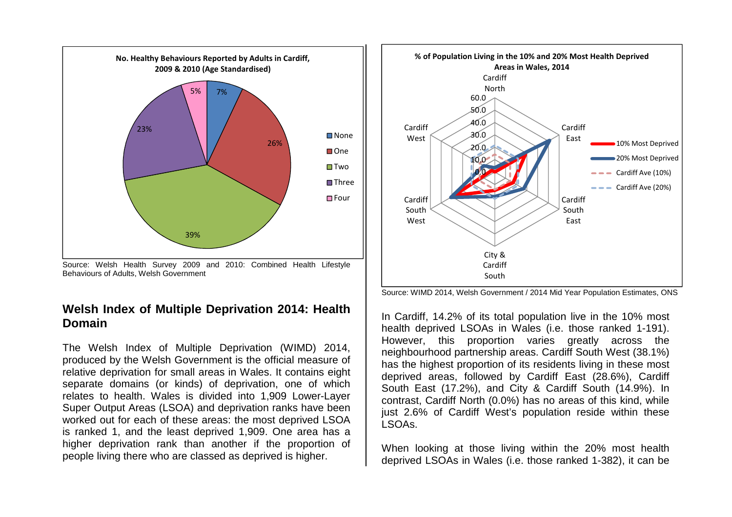

Source: Welsh Health Survey 2009 and 2010: Combined Health Lifestyle Behaviours of Adults, Welsh Government

## **Welsh Index of Multiple Deprivation 2014: Health Domain**

The Welsh Index of Multiple Deprivation (WIMD) 2014, produced by the Welsh Government is the official measure of relative deprivation for small areas in Wales. It contains eight separate domains (or kinds) of deprivation, one of which relates to health. Wales is divided into 1,909 Lower-Layer Super Output Areas (LSOA) and deprivation ranks have been worked out for each of these areas: the most deprived LSOA is ranked 1, and the least deprived 1,909. One area has a higher deprivation rank than another if the proportion of people living there who are classed as deprived is higher.



Source: WIMD 2014, Welsh Government / 2014 Mid Year Population Estimates, ONS

In Cardiff, 14.2% of its total population live in the 10% most health deprived LSOAs in Wales (i.e. those ranked 1-191). However, this proportion varies greatly across the neighbourhood partnership areas. Cardiff South West (38.1%) has the highest proportion of its residents living in these most deprived areas, followed by Cardiff East (28.6%), Cardiff South East (17.2%), and City & Cardiff South (14.9%). In contrast, Cardiff North (0.0%) has no areas of this kind, while just 2.6% of Cardiff West's population reside within these LSOAs.

When looking at those living within the 20% most health deprived LSOAs in Wales (i.e. those ranked 1-382), it can be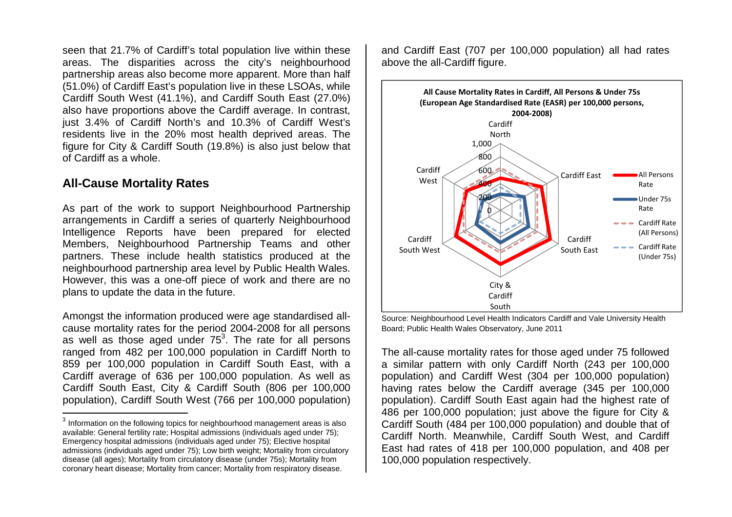seen that 21.7% of Cardiff's total population live within these areas. The disparities across the city's neighbourhood partnership areas also become more apparent. More than half (51.0%) of Cardiff East's population live in these LSOAs, while Cardiff South West (41.1%), and Cardiff South East (27.0%) also have proportions above the Cardiff average. In contrast, just 3.4% of Cardiff North's and 10.3% of Cardiff West's residents live in the 20% most health deprived areas. The figure for City & Cardiff South (19.8%) is also just below that of Cardiff as a whole.

## **All-Cause Mortality Rates**

As part of the work to support Neighbourhood Partnership arrangements in Cardiff a series of quarterly Neighbourhood Intelligence Reports have been prepared for elected Members, Neighbourhood Partnership Teams and other partners. These include health statistics produced at the neighbourhood partnership area level by Public Health Wales. However, this was a one-off piece of work and there are no plans to update the data in the future.

Amongst the information produced were age standardised allcause mortality rates for the period 2004-2008 for all persons as well as those aged under 75<sup>3</sup>. The rate for all persons ranged from 482 per 100,000 population in Cardiff North to 859 per 100,000 population in Cardiff South East, with a Cardiff average of 636 per 100,000 population. As well as Cardiff South East, City & Cardiff South (806 per 100,000 population), Cardiff South West (766 per 100,000 population) and Cardiff East (707 per 100,000 population) all had rates above the all-Cardiff figure.



Source: Neighbourhood Level Health Indicators Cardiff and Vale University Health Board; Public Health Wales Observatory, June 2011

The all-cause mortality rates for those aged under 75 followed a similar pattern with only Cardiff North (243 per 100,000 population) and Cardiff West (304 per 100,000 population) having rates below the Cardiff average (345 per 100,000 population). Cardiff South East again had the highest rate of 486 per 100,000 population; just above the figure for City & Cardiff South (484 per 100,000 population) and double that of Cardiff North. Meanwhile, Cardiff South West, and Cardiff East had rates of 418 per 100,000 population, and 408 per 100,000 population respectively.

 $^3$  Information on the following topics for neighbourhood management areas is also available: General fertility rate; Hospital admissions (individuals aged under 75); Emergency hospital admissions (individuals aged under 75); Elective hospital admissions (individuals aged under 75); Low birth weight; Mortality from circulatory disease (all ages); Mortality from circulatory disease (under 75s); Mortality from coronary heart disease; Mortality from cancer; Mortality from respiratory disease.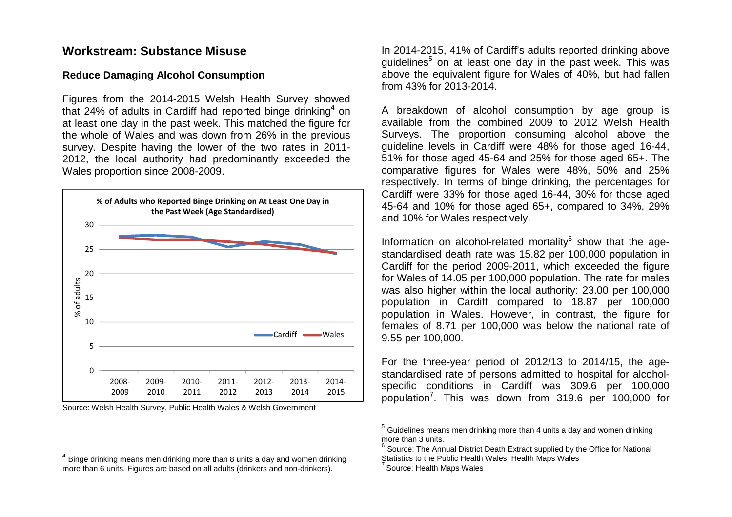### **Workstream: Substance Misuse**

#### **Reduce Damaging Alcohol Consumption**

Figures from the 2014-2015 Welsh Health Survey showed that 24% of adults in Cardiff had reported binge drinking<sup>4</sup> on at least one day in the past week. This matched the figure for the whole of Wales and was down from 26% in the previous survey. Despite having the lower of the two rates in 2011- 2012, the local authority had predominantly exceeded the Wales proportion since 2008-2009.





In 2014-2015, 41% of Cardiff's adults reported drinking above guidelines<sup>5</sup> on at least one day in the past week. This was above the equivalent figure for Wales of 40%, but had fallen from 43% for 2013-2014.

A breakdown of alcohol consumption by age group is available from the combined 2009 to 2012 Welsh Health Surveys. The proportion consuming alcohol above the guideline levels in Cardiff were 48% for those aged 16-44, 51% for those aged 45-64 and 25% for those aged 65+. The comparative figures for Wales were 48%, 50% and 25% respectively. In terms of binge drinking, the percentages for Cardiff were 33% for those aged 16-44, 30% for those aged 45-64 and 10% for those aged 65+, compared to 34%, 29% and 10% for Wales respectively.

Information on alcohol-related mortality $^6$  show that the age standardised death rate was 15.82 per 100,000 population in Cardiff for the period 2009-2011, which exceeded the figure for Wales of 14.05 per 100,000 population. The rate for males was also higher within the local authority: 23.00 per 100,000 population in Cardiff compared to 18.87 per 100,000 population in Wales. However, in contrast, the figure for females of 8.71 per 100,000 was below the national rate of 9.55 per 100,000.

For the three-year period of 2012/13 to 2014/15, the agestandardised rate of persons admitted to hospital for alcoholspecific conditions in Cardiff was 309.6 per 100,000 population<sup>7</sup>. This was down from 319.6 per 100,000 for

 $^4$  Binge drinking means men drinking more than 8 units a day and women drinking more than 6 units. Figures are based on all adults (drinkers and non-drinkers).

 $^5$  Guidelines means men drinking more than 4 units a day and women drinking more than 3 units.

 $6$  Source: The Annual District Death Extract supplied by the Office for National Statistics to the Public Health Wales, Health Maps Wales

 $'$  Source: Health Maps Wales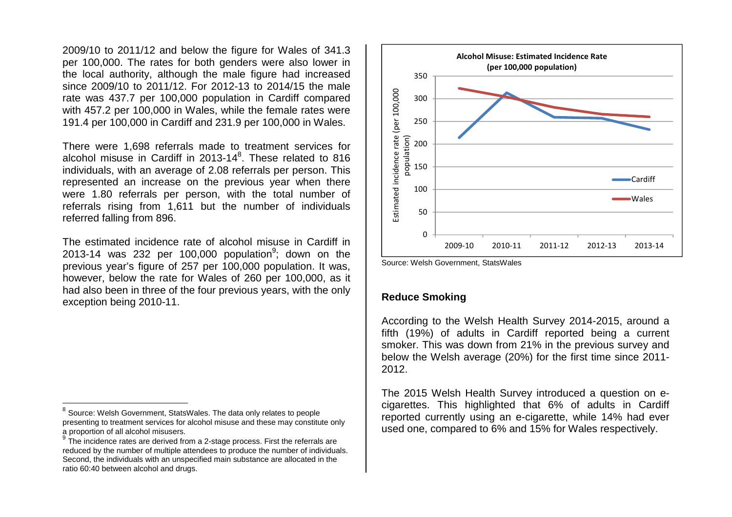2009/10 to 2011/12 and below the figure for Wales of 341.3 per 100,000. The rates for both genders were also lower in the local authority, although the male figure had increased since 2009/10 to 2011/12. For 2012-13 to 2014/15 the male rate was 437.7 per 100,000 population in Cardiff compared with 457.2 per 100,000 in Wales, while the female rates were 191.4 per 100,000 in Cardiff and 231.9 per 100,000 in Wales.

There were 1,698 referrals made to treatment services for alcohol misuse in Cardiff in 2013-14 ${}^{8}$ . These related to 816 individuals, with an average of 2.08 referrals per person. This represented an increase on the previous year when there were 1.80 referrals per person, with the total number of referrals rising from 1,611 but the number of individuals referred falling from 896.

The estimated incidence rate of alcohol misuse in Cardiff in 2013-14 was 232 per 100,000 population<sup>9</sup>; down on the previous year's figure of 257 per 100,000 population. It was, however, below the rate for Wales of 260 per 100,000, as it had also been in three of the four previous years, with the only exception being 2010-11.



Source: Welsh Government, StatsWales

#### **Reduce Smoking**

According to the Welsh Health Survey 2014-2015, around a fifth (19%) of adults in Cardiff reported being a current smoker. This was down from 21% in the previous survey and below the Welsh average (20%) for the first time since 2011-2012.

The 2015 Welsh Health Survey introduced a question on ecigarettes. This highlighted that 6% of adults in Cardiff reported currently using an e-cigarette, while 14% had ever used one, compared to 6% and 15% for Wales respectively.

 $^8$  Source: Welsh Government, StatsWales. The data only relates to people presenting to treatment services for alcohol misuse and these may constitute only a proportion of all alcohol misusers.

 $\mathrm{^{9}}$  The incidence rates are derived from a 2-stage process. First the referrals are 9 reduced by the number of multiple attendees to produce the number of individuals. Second, the individuals with an unspecified main substance are allocated in the ratio 60:40 between alcohol and drugs.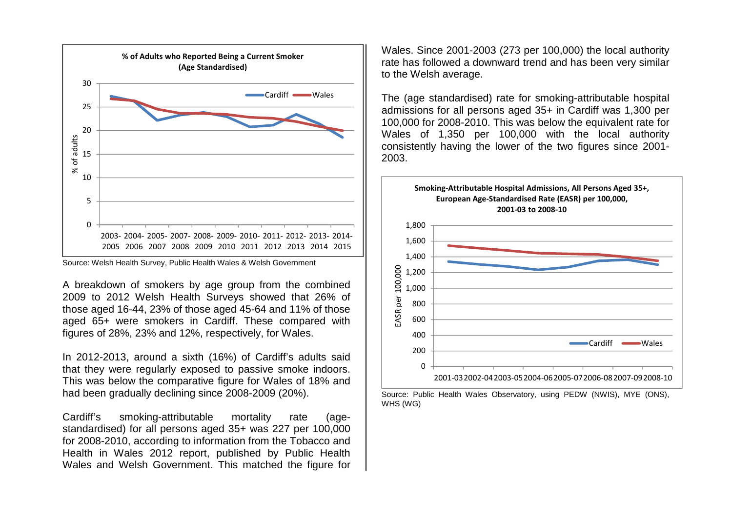

Source: Welsh Health Survey, Public Health Wales & Welsh Government

A breakdown of smokers by age group from the combined 2009 to 2012 Welsh Health Surveys showed that 26% of those aged 16-44, 23% of those aged 45-64 and 11% of those aged 65+ were smokers in Cardiff. These compared with figures of 28%, 23% and 12%, respectively, for Wales.

In 2012-2013, around a sixth (16%) of Cardiff's adults said that they were regularly exposed to passive smoke indoors. This was below the comparative figure for Wales of 18% and had been gradually declining since 2008-2009 (20%).

Cardiff's smoking-attributable mortality rate (agestandardised) for all persons aged 35+ was 227 per 100,000 for 2008-2010, according to information from the Tobacco and Health in Wales 2012 report, published by Public Health Wales and Welsh Government. This matched the figure for

Wales. Since 2001-2003 (273 per 100,000) the local authority rate has followed a downward trend and has been very similar to the Welsh average.

The (age standardised) rate for smoking-attributable hospital admissions for all persons aged 35+ in Cardiff was 1,300 per 100,000 for 2008-2010. This was below the equivalent rate for Wales of 1,350 per 100,000 with the local authority consistently having the lower of the two figures since 2001-2003.



Source: Public Health Wales Observatory, using PEDW (NWIS), MYE (ONS), WHS (WG)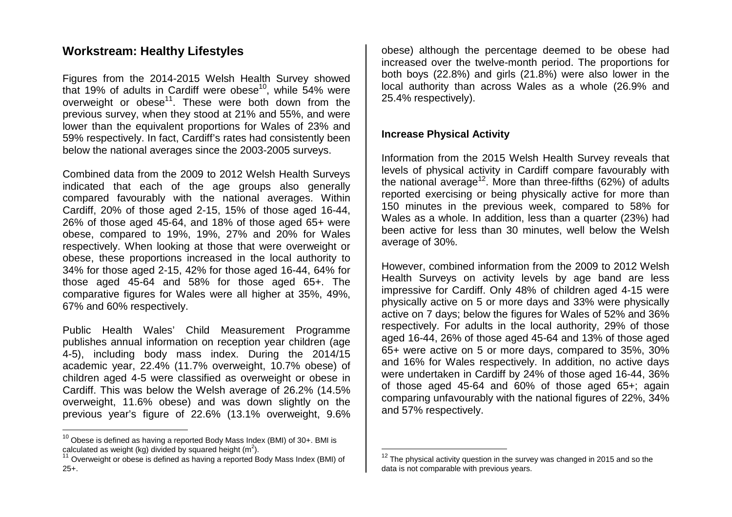## **Workstream: Healthy Lifestyles**

Figures from the 2014-2015 Welsh Health Survey showed that 19% of adults in Cardiff were obese<sup>10</sup>, while 54% were overweight or obese<sup>11</sup>. These were both down from the previous survey, when they stood at 21% and 55%, and were lower than the equivalent proportions for Wales of 23% and 59% respectively. In fact, Cardiff's rates had consistently been below the national averages since the 2003-2005 surveys.

Combined data from the 2009 to 2012 Welsh Health Surveys indicated that each of the age groups also generally compared favourably with the national averages. Within Cardiff, 20% of those aged 2-15, 15% of those aged 16-44, 26% of those aged 45-64, and 18% of those aged 65+ were obese, compared to 19%, 19%, 27% and 20% for Wales respectively. When looking at those that were overweight or obese, these proportions increased in the local authority to 34% for those aged 2-15, 42% for those aged 16-44, 64% for those aged 45-64 and 58% for those aged 65+. The comparative figures for Wales were all higher at 35%, 49%, 67% and 60% respectively.

Public Health Wales' Child Measurement Programme publishes annual information on reception year children (age 4-5), including body mass index. During the 2014/15 academic year, 22.4% (11.7% overweight, 10.7% obese) of children aged 4-5 were classified as overweight or obese in Cardiff. This was below the Welsh average of 26.2% (14.5% overweight, 11.6% obese) and was down slightly on the previous year's figure of 22.6% (13.1% overweight, 9.6% obese) although the percentage deemed to be obese had increased over the twelve-month period. The proportions for both boys (22.8%) and girls (21.8%) were also lower in the local authority than across Wales as a whole (26.9% and 25.4% respectively).

#### **Increase Physical Activity**

Information from the 2015 Welsh Health Survey reveals that levels of physical activity in Cardiff compare favourably with the national average<sup>12</sup>. More than three-fifths (62%) of adults reported exercising or being physically active for more than 150 minutes in the previous week, compared to 58% for Wales as a whole. In addition, less than a quarter (23%) had been active for less than 30 minutes, well below the Welsh average of 30%.

However, combined information from the 2009 to 2012 Welsh Health Surveys on activity levels by age band are less impressive for Cardiff. Only 48% of children aged 4-15 were physically active on 5 or more days and 33% were physically active on 7 days; below the figures for Wales of 52% and 36% respectively. For adults in the local authority, 29% of those aged 16-44, 26% of those aged 45-64 and 13% of those aged 65+ were active on 5 or more days, compared to 35%, 30% and 16% for Wales respectively. In addition, no active days were undertaken in Cardiff by 24% of those aged 16-44, 36% of those aged 45-64 and 60% of those aged 65+; again comparing unfavourably with the national figures of 22%, 34% and 57% respectively.

 $^{10}$  Obese is defined as having a reported Body Mass Index (BMI) of 30+. BMI is calculated as weight (kg) divided by squared height (m<sup>2</sup>).

 $11$  Overweight or obese is defined as having a reported Body Mass Index (BMI) of 25+.

 $^{12}$  The physical activity question in the survey was changed in 2015 and so the data is not comparable with previous years.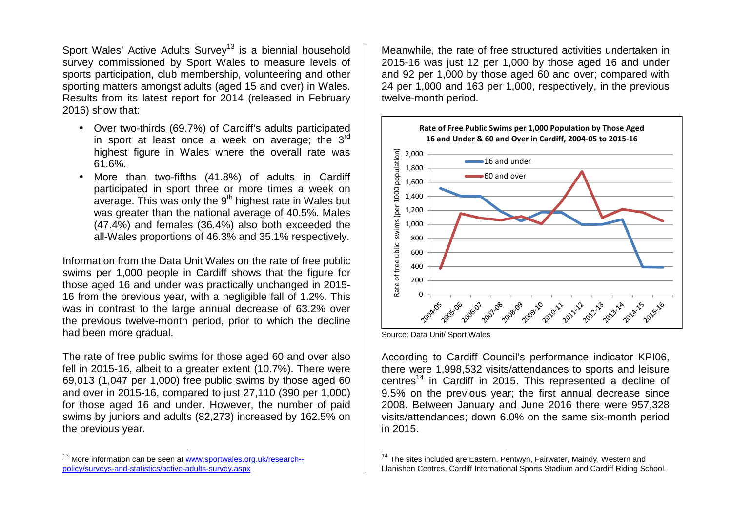Sport Wales' Active Adults Survey<sup>13</sup> is a biennial household survey commissioned by Sport Wales to measure levels of sports participation, club membership, volunteering and other sporting matters amongst adults (aged 15 and over) in Wales. Results from its latest report for 2014 (released in February 2016) show that:

- Over two-thirds (69.7%) of Cardiff's adults participated in sport at least once a week on average; the  $3^{\text{rd}}$ highest figure in Wales where the overall rate was 61.6%.
- More than two-fifths (41.8%) of adults in Cardiff participated in sport three or more times a week onaverage. This was only the  $9^{th}$  highest rate in Wales but was greater than the national average of 40.5%. Males (47.4%) and females (36.4%) also both exceeded the all-Wales proportions of 46.3% and 35.1% respectively.

Information from the Data Unit Wales on the rate of free public swims per 1,000 people in Cardiff shows that the figure for those aged 16 and under was practically unchanged in 2015- 16 from the previous year, with a negligible fall of 1.2%. This was in contrast to the large annual decrease of 63.2% over the previous twelve-month period, prior to which the decline had been more gradual.

The rate of free public swims for those aged 60 and over also fell in 2015-16, albeit to a greater extent (10.7%). There were 69,013 (1,047 per 1,000) free public swims by those aged 60 and over in 2015-16, compared to just 27,110 (390 per 1,000) for those aged 16 and under. However, the number of paid swims by juniors and adults (82,273) increased by 162.5% on the previous year.

Meanwhile, the rate of free structured activities undertaken in 2015-16 was just 12 per 1,000 by those aged 16 and under and 92 per 1,000 by those aged 60 and over; compared with 24 per 1,000 and 163 per 1,000, respectively, in the previous twelve-month period.



Source: Data Unit/ Sport Wales

According to Cardiff Council's performance indicator KPI06, there were 1,998,532 visits/attendances to sports and leisure centres<sup>14</sup> in Cardiff in 2015. This represented a decline of 9.5% on the previous year; the first annual decrease since 2008. Between January and June 2016 there were 957,328 visits/attendances; down 6.0% on the same six-month period in 2015.

<sup>&</sup>lt;sup>13</sup> More information can be seen at www.sportwales.org.uk/research-policy/surveys-and-statistics/active-adults-survey.aspx

<sup>&</sup>lt;sup>14</sup> The sites included are Eastern, Pentwyn, Fairwater, Maindy, Western and Llanishen Centres, Cardiff International Sports Stadium and Cardiff Riding School.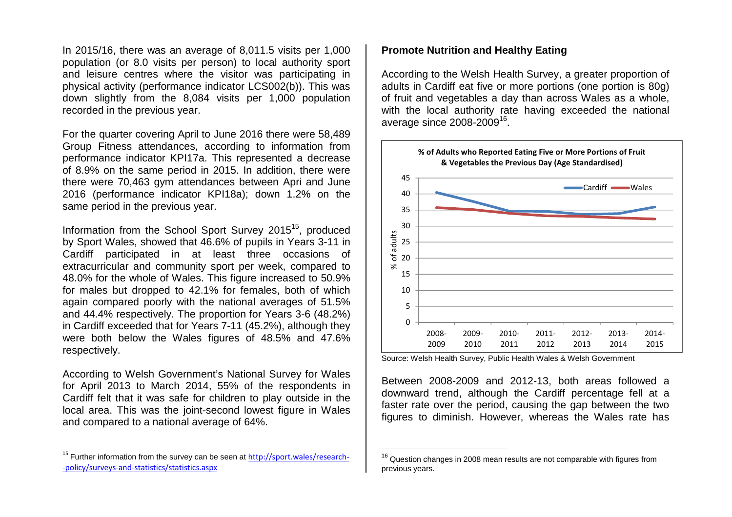In 2015/16, there was an average of 8,011.5 visits per 1,000 population (or 8.0 visits per person) to local authority sport and leisure centres where the visitor was participating in physical activity (performance indicator LCS002(b)). This was down slightly from the 8,084 visits per 1,000 population recorded in the previous year.

For the quarter covering April to June 2016 there were 58,489 Group Fitness attendances, according to information from performance indicator KPI17a. This represented a decrease of 8.9% on the same period in 2015. In addition, there were there were 70,463 gym attendances between Apri and June 2016 (performance indicator KPI18a); down 1.2% on the same period in the previous year.

Information from the School Sport Survey 2015<sup>15</sup>, produced by Sport Wales, showed that 46.6% of pupils in Years 3-11 in Cardiff participated in at least three occasions of extracurricular and community sport per week, compared to 48.0% for the whole of Wales. This figure increased to 50.9% for males but dropped to 42.1% for females, both of which again compared poorly with the national averages of 51.5% and 44.4% respectively. The proportion for Years 3-6 (48.2%) in Cardiff exceeded that for Years 7-11 (45.2%), although they were both below the Wales figures of 48.5% and 47.6% respectively.

According to Welsh Government's National Survey for Wales for April 2013 to March 2014, 55% of the respondents in Cardiff felt that it was safe for children to play outside in the local area. This was the joint-second lowest figure in Wales and compared to a national average of 64%.

#### **Promote Nutrition and Healthy Eating**

According to the Welsh Health Survey, a greater proportion of adults in Cardiff eat five or more portions (one portion is 80g) of fruit and vegetables a day than across Wales as a whole, with the local authority rate having exceeded the national average since 2008-2009<sup>16</sup>.



Source: Welsh Health Survey, Public Health Wales & Welsh Government

Between 2008-2009 and 2012-13, both areas followed a downward trend, although the Cardiff percentage fell at a faster rate over the period, causing the gap between the two figures to diminish. However, whereas the Wales rate has

<sup>&</sup>lt;sup>15</sup> Further information from the survey can be seen at http://sport.wales/research--policy/surveys-and-statistics/statistics.aspx

 $^{16}$  Question changes in 2008 mean results are not comparable with figures from previous years.